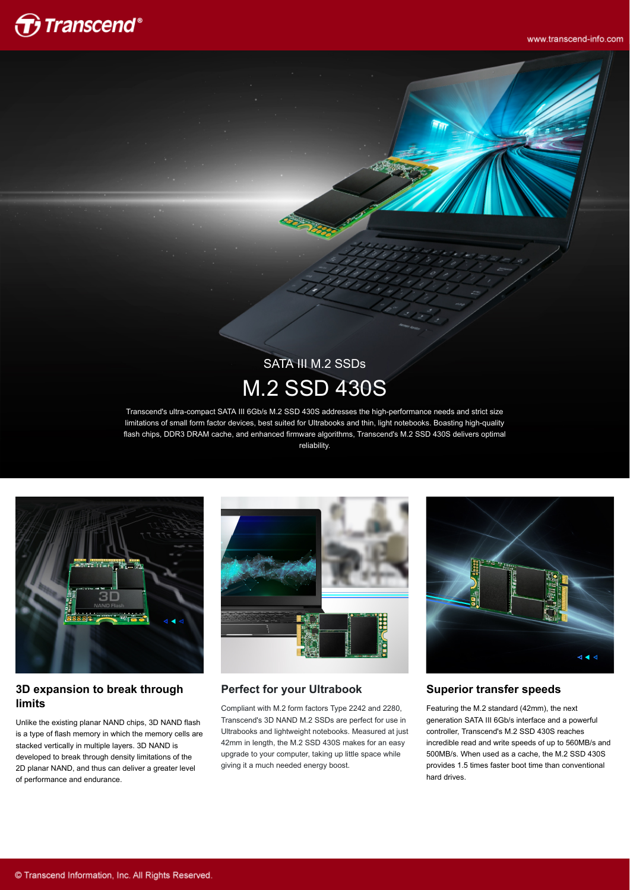

www.transcend-info.com

# SATA III M.2 SSDs M.2 SSD 430S

Transcend's ultra-compact SATA III 6Gb/s M.2 SSD 430S addresses the high-performance needs and strict size limitations of small form factor devices, best suited for Ultrabooks and thin, light notebooks. Boasting high-quality flash chips, DDR3 DRAM cache, and enhanced firmware algorithms, Transcend's M.2 SSD 430S delivers optimal reliability.



#### **3D expansion to break through limits**

Unlike the existing planar NAND chips, 3D NAND flash is a type of flash memory in which the memory cells are stacked vertically in multiple layers. 3D NAND is developed to break through density limitations of the 2D planar NAND, and thus can deliver a greater level of performance and endurance.



#### **Perfect for your Ultrabook**

Compliant with M.2 form factors Type 2242 and 2280, Transcend's 3D NAND M.2 SSDs are perfect for use in Ultrabooks and lightweight notebooks. Measured at just 42mm in length, the M.2 SSD 430S makes for an easy upgrade to your computer, taking up little space while giving it a much needed energy boost.



#### **Superior transfer speeds**

Featuring the M.2 standard (42mm), the next generation SATA III 6Gb/s interface and a powerful controller, Transcend's M.2 SSD 430S reaches incredible read and write speeds of up to 560MB/s and 500MB/s. When used as a cache, the M.2 SSD 430S provides 1.5 times faster boot time than conventional hard drives.